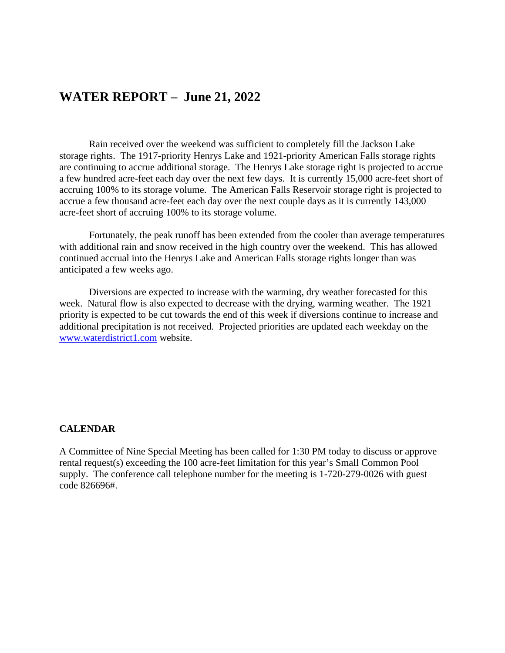### **WATER REPORT – June 21, 2022**

Rain received over the weekend was sufficient to completely fill the Jackson Lake storage rights. The 1917-priority Henrys Lake and 1921-priority American Falls storage rights are continuing to accrue additional storage. The Henrys Lake storage right is projected to accrue a few hundred acre-feet each day over the next few days. It is currently 15,000 acre-feet short of accruing 100% to its storage volume. The American Falls Reservoir storage right is projected to accrue a few thousand acre-feet each day over the next couple days as it is currently 143,000 acre-feet short of accruing 100% to its storage volume.

Fortunately, the peak runoff has been extended from the cooler than average temperatures with additional rain and snow received in the high country over the weekend. This has allowed continued accrual into the Henrys Lake and American Falls storage rights longer than was anticipated a few weeks ago.

Diversions are expected to increase with the warming, dry weather forecasted for this week. Natural flow is also expected to decrease with the drying, warming weather. The 1921 priority is expected to be cut towards the end of this week if diversions continue to increase and additional precipitation is not received. Projected priorities are updated each weekday on the [www.waterdistrict1.com](http://www.waterdistrict1.com/) website.

#### **CALENDAR**

A Committee of Nine Special Meeting has been called for 1:30 PM today to discuss or approve rental request(s) exceeding the 100 acre-feet limitation for this year's Small Common Pool supply. The conference call telephone number for the meeting is 1-720-279-0026 with guest code 826696#.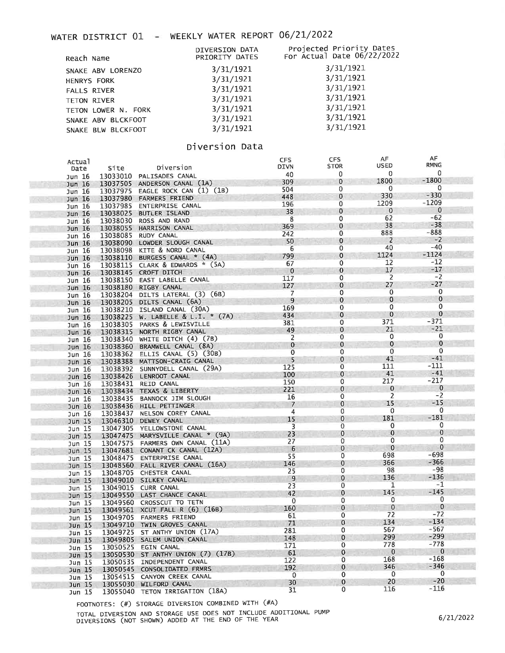## WATER DISTRICT 01 - WEEKLY WATER REPORT 06/21/2022

| Reach Name          | DIVERSION DATA<br>PRIORITY DATES | Projected Priority Dates<br>For Actual Date 06/22/2022 |
|---------------------|----------------------------------|--------------------------------------------------------|
| SNAKE ABV LORENZO   | 3/31/1921                        | 3/31/1921                                              |
| <b>HENRYS FORK</b>  | 3/31/1921                        | 3/31/1921                                              |
| <b>FALLS RIVER</b>  | 3/31/1921                        | 3/31/1921                                              |
| TETON RIVER         | 3/31/1921                        | 3/31/1921                                              |
| TETON LOWER N. FORK | 3/31/1921                        | 3/31/1921                                              |
| SNAKE ABV BLCKFOOT  | 3/31/1921                        | 3/31/1921                                              |
| SNAKE BLW BLCKFOOT  | 3/31/1921                        | 3/31/1921                                              |
|                     |                                  |                                                        |

### Diversion Data

| Actual            |          |                                   | CFS            | <b>CFS</b>   | AF             | AF           |  |
|-------------------|----------|-----------------------------------|----------------|--------------|----------------|--------------|--|
| Date              | Site     | Diversion                         | DIVN           | <b>STOR</b>  | USED           | <b>RMNG</b>  |  |
| Jun 16            | 13033010 | PALISADES CANAL                   | 40             | 0            | 0              | 0            |  |
| Jun 16            |          | 13037505 ANDERSON CANAL (1A)      | 309            | 0            | 1800           | $-1800$      |  |
| Jun 16            | 13037975 | EAGLE ROCK CAN (1) (1B)           | 504            | 0            | $\mathbf 0$    | $\mathbf{0}$ |  |
| Jun 16            |          | 13037980 FARMERS FRIEND           | 448            | $\bf{0}$     | 330            | $-330$       |  |
| Jun 16            | 13037985 | ENTERPRISE CANAL                  | 196            | 0            | 1209           | $-1209$      |  |
| Jun $16$          | 13038025 | <b>BUTLER ISLAND</b>              | 38             | 0            | $\mathbf 0$    | $\mathbf{0}$ |  |
| Jun 16            | 13038030 | ROSS AND RAND                     | 8              | 0            | 62             | $-62$        |  |
| Jun 16            |          | 13038055 HARRISON CANAL           | 369            | $\bf{0}$     | 38             | $-38$        |  |
| Jun 16            | 13038085 | RUDY CANAL                        | 242            | 0            | 888            | $-888$       |  |
|                   |          | 13038090 LOWDER SLOUGH CANAL      | 50             | 0            | $\overline{2}$ | $-2$         |  |
| Jun $16$          |          | 13038098 KITE & NORD CANAL        | 6              | 0            | 40             | $-40$        |  |
| Jun 16            |          | 13038110 BURGESS CANAL * (4A)     | 799            | 0            | 1124           | $-1124$      |  |
| Jun 16            |          | 13038115 CLARK & EDWARDS * (5A)   | 67             | 0            | 12             | $-12$        |  |
| Jun 16            |          |                                   | $\mathbf{0}$   | $\bf{0}$     | 17             | $-17$        |  |
| Jun $16$          |          | 13038145 CROFT DITCH              | 117            | 0            | 2              | $-2$         |  |
| Jun 16            |          | 13038150 EAST LABELLE CANAL       | 127            | $\bf{0}$     | 27             | $-27$        |  |
| Jun $16$          |          | 13038180 RIGBY CANAL              | 7              | 0            | $\mathbf 0$    | 0            |  |
| Jun 16            |          | 13038204 DILTS LATERAL (3) (6B)   | 9              | $\bf{0}$     | $\mathbf 0$    | 0            |  |
| Jun 16            |          | 13038205 DILTS CANAL (6A)         |                | 0            | 0              | 0            |  |
| Jun 16            |          | 13038210 ISLAND CANAL (30A)       | 169            |              | $\mathbf 0$    | $\mathbf{0}$ |  |
| Jun 16            |          | 13038225 W. LABELLE & L.I. * (7A) | 434            | $\mathbf 0$  |                | -371         |  |
| Jun 16            |          | 13038305 PARKS & LEWISVILLE       | 381            | 0            | 371            | $-21$        |  |
| Jun $16$          |          | 13038315 NORTH RIGBY CANAL        | 49             | 0            | 21             | 0            |  |
| Jun $16$          |          | 13038340 WHITE DITCH (4) (7B)     | 2              | 0            | 0              | $\mathbf{0}$ |  |
| Jun $16$          |          | 13038360 BRAMWELL CANAL (8A)      | $\mathbf 0$    | $\mathbf 0$  | $\mathbf 0$    |              |  |
| Jun 16            |          | 13038362 ELLIS CANAL (5) (30B)    | $\mathbf 0$    | 0            | $\mathbf{0}$   | $\mathbf 0$  |  |
| Jun $16$          |          | 13038388 MATTSON-CRAIG CANAL      | 5              | 0            | 41             | $-41$        |  |
| Jun 16            |          | 13038392 SUNNYDELL CANAL (29A)    | 125            | $\mathbf 0$  | 111            | -111         |  |
| Jun 16            |          | 13038426 LENROOT CANAL            | 100            | 0            | 41             | $-41$        |  |
| Jun 16            |          | 13038431 REID CANAL               | 150            | 0            | 217            | -217         |  |
| Jun $16$          |          | 13038434 TEXAS & LIBERTY          | 221            | 0            | $\mathbf{0}$   | $\bf{0}$     |  |
| Jun 16            |          | 13038435 BANNOCK JIM SLOUGH       | 16             | 0            | 2              | $-2$         |  |
| Jun 16            |          | 13038436 HILL PETTINGER           | $\overline{7}$ | $\mathbf{0}$ | 15             | $-15$        |  |
| Jun 16            |          | 13038437 NELSON COREY CANAL       | 4              | 0            | 0              | $\mathbf 0$  |  |
| Jun $15$          |          | 13046310 DEWEY CANAL              | 15             | $\mathbf 0$  | 181            | $-181$       |  |
| Jun 15            |          | 13047305 YELLOWSTONE CANAL        | 3              | 0            | 0              | 0            |  |
|                   |          | 13047475 MARYSVILLE CANAL * (9A)  | 23             | $\pmb{0}$    | $\bf{0}$       | $\mathbf 0$  |  |
| Jun 15            |          | 13047575 FARMERS OWN CANAL (11A)  | 27             | 0            | 0              | 0            |  |
| Jun 15            |          | 13047681 CONANT CK CANAL (12A)    | 6              | 0            | $\mathbf{0}$   | 0            |  |
| Jun 15            |          | 13048475 ENTERPRISE CANAL         | 55             | 0            | 698            | -698         |  |
| Jun 15            |          |                                   | 146            | 0            | 366            | $-366$       |  |
| Jun $15$          |          | 13048560 FALL RIVER CANAL (16A)   | 25             | 0            | 98             | $-98$        |  |
| Jun 15            |          | 13048705 CHESTER CANAL            | 9              | 0            | 136            | $-136$       |  |
| Jun 15            |          | 13049010 SILKEY CANAL             | 23             | 0            | 1              | -1           |  |
| Jun 15            |          | 13049015 CURR CANAL               | 42             | $\bf{0}$     | 145            | $-145$       |  |
| Jun <sub>15</sub> |          | 13049550 LAST CHANCE CANAL        | $\mathbf 0$    | 0            | $\mathbf{0}$   | 0            |  |
| Jun 15            |          | 13049560 CROSSCUT TO TETN         |                | $\mathbf 0$  | $\mathbf{0}$   | $\mathbf 0$  |  |
| Jun $15$          |          | 13049561 XCUT FALL R (6) (16B)    | 160            | 0            | 72             | $-72$        |  |
| Jun 15            |          | 13049705 FARMERS FRIEND           | 61             | $\mathbf 0$  | 134            | $-134$       |  |
|                   |          | Jun 15 13049710 TWIN GROVES CANAL | 71             |              |                | $-567$       |  |
| Jun 15            |          | 13049725 ST ANTHY UNION (17A)     | 281            | 0            | 567<br>299     | $-299$       |  |
| Jun $15$          |          | 13049805 SALEM UNION CANAL        | 148            | $\mathbf 0$  |                | $-778$       |  |
| Jun 15            |          | 13050525 EGIN CANAL               | 171            | 0            | 778            |              |  |
| Jun <sub>15</sub> |          | 13050530 ST ANTHY UNION (7) (17B) | 61             | $\mathbf 0$  | $\mathbf{0}$   | $\mathbf{0}$ |  |
| Jun 15            |          | 13050535 INDEPENDENT CANAL        | 122            | 0            | 168            | -168         |  |
| Jun 15            |          | 13050545 CONSOLIDATED FRMRS       | 192            | $\bf{0}$     | 346            | -346         |  |
| Jun 15            |          | 13054515 CANYON CREEK CANAL       | 0              | 0            | $\mathbf{0}$   | 0            |  |
| Jun <sub>15</sub> |          | 13055030 WILFORD CANAL            | 30             | 0            | 20             | $-20$        |  |
| Jun $15$          |          | 13055040 TETON IRRIGATION (18A)   | 31             | 0            | 116            | $-116$       |  |

FOOTNOTES: (#) STORAGE DIVERSION COMBINED WITH (#A)

TOTAL DIVERSION AND STORAGE USE DOES NOT INCLUDE ADDITIONAL PUMP<br>DIVERSIONS (NOT SHOWN) ADDED AT THE END OF THE YEAR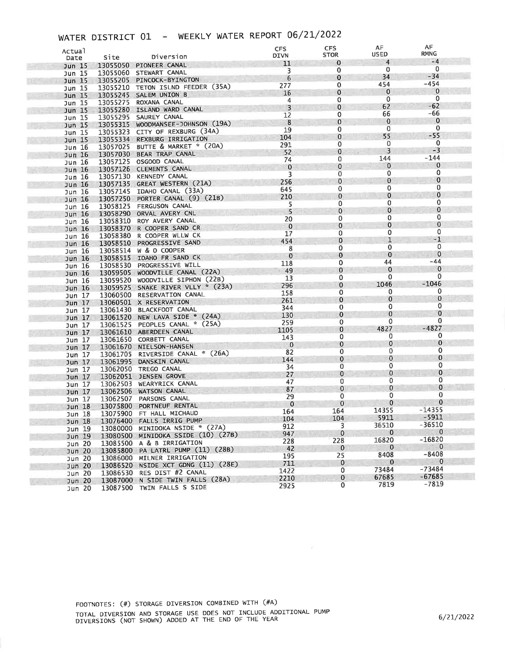# WATER DISTRICT 01 - WEEKLY WATER REPORT 06/21/2022

| Actual            |          |                                                     | <b>CFS</b><br><b>DIVN</b> | <b>CFS</b><br><b>STOR</b> | AF<br>USED              | AF<br>RMNG       |
|-------------------|----------|-----------------------------------------------------|---------------------------|---------------------------|-------------------------|------------------|
| Date              | Site     | Diversion                                           | 11                        | 0                         | $\overline{4}$          | $-4$             |
| Jun 15            |          | 13055050 PIONEER CANAL                              | 3                         | $\mathbf 0$               | $\mathbf 0$             | $\mathbf 0$      |
| Jun 15            |          | 13055060 STEWART CANAL                              | 6                         | $\bf{0}$                  | 34                      | $-34$            |
| Jun 15            |          | 13055205 PINCOCK-BYINGTON                           | 277                       | 0                         | 454                     | -454             |
| Jun 15            |          | 13055210 TETON ISLND FEEDER (35A)                   | 16                        | $\mathbf{0}$              | $\mathbf 0$             | $\mathbf 0$      |
| Jun $15$          |          | 13055245 SALEM UNION B                              | 4                         | 0                         | 0                       | 0                |
| Jun 15            |          | 13055275 ROXANA CANAL<br>13055280 ISLAND WARD CANAL | 3                         | $\mathbf 0$               | 62                      | $-62$            |
| Jun <sub>15</sub> |          | 13055295 SAUREY CANAL                               | 12                        | 0                         | 66                      | -66              |
| Jun 15<br>Jun 15  |          | 13055315 WOODMANSEE-JOHNSON (19A)                   | 8                         | 0                         | $\bf{0}$                | $\mathbf 0$      |
|                   |          | 13055323 CITY OF REXBURG (34A)                      | 19                        | 0                         | $\mathbf 0$             | 0                |
| Jun 15<br>Jun 15  |          | 13055334 REXBURG IRRIGATION                         | 104                       | 0                         | 55                      | $-55$            |
| Jun 16            |          | 13057025 BUTTE & MARKET * (20A)                     | 291                       | 0                         | 0                       | $\mathbf 0$      |
| Jun 16            |          | 13057030 BEAR TRAP CANAL                            | 52                        | $\mathbf 0$               | 3                       | $-3$             |
| Jun 16            |          | 13057125 OSGOOD CANAL                               | 74                        | 0                         | 144                     | $-144$           |
| Jun 16            |          | 13057126 CLEMENTS CANAL                             | $\bf{0}$                  | 0                         | 0                       | $\mathbf 0$      |
| Jun 16            |          | 13057130 KENNEDY CANAL                              | 3                         | 0                         | 0                       | 0                |
| Jun 16            |          | 13057135 GREAT WESTERN (21A)                        | 256                       | 0                         | $\bf{0}$                | $\bf{0}$         |
| Jun 16            |          | 13057145 IDAHO CANAL (33A)                          | 645                       | 0                         | $\mathbf 0$             | 0                |
| Jun 16            |          | 13057250 PORTER CANAL (9) (21B)                     | 210                       | $\bf{0}$                  | $\mathbf 0$             | $\bf{0}$         |
| Jun 16            |          | 13058125 FERGUSON CANAL                             | 5                         | 0                         | $\mathbf 0$             | 0                |
| Jun $16$          |          | 13058290 ORVAL AVERY CNL                            | 5                         | $\bf{0}$                  | $\mathbf 0$             | $\mathbf 0$      |
| Jun 16            |          | 13058310 ROY AVERY CANAL                            | 20                        | 0                         | 0                       | 0                |
| Jun $16$          |          | 13058370 R COOPER SAND CR                           | $\mathbf 0$               | $\bf{0}$                  | 0                       | $\bf{0}$         |
| Jun 16            |          | 13058380 R COOPER WLLW CK                           | 17                        | 0                         | 0                       | 0                |
| Jun 16            |          | 13058510 PROGRESSIVE SAND                           | 454                       | $\bf{0}$                  | 1                       | $-1$             |
| Jun 16            |          | 13058514 W & O COOPER                               | 8                         | 0                         | $\mathbf{0}$            | 0                |
| Jun 16            |          | 13058515 IDAHO FR SAND CK                           | $\mathbf 0$               | $\bf{0}$                  | $\bf{0}$                | $\mathbf 0$      |
| Jun 16            |          | 13058530 PROGRESSIVE WILL                           | 118                       | $\mathbf 0$               | 44                      | $-44$            |
| Jun 16            |          | 13059505 WOODVILLE CANAL (22A)                      | 49                        | $\bf{0}$                  | 0                       | $\bf{0}$         |
| Jun 16            |          | 13059520 WOODVILLE SIPHON (22B)                     | 13                        | 0                         | $\Omega$                | 0                |
| Jun 16            |          | 13059525 SNAKE RIVER VLLY * (23A)                   | 296                       | 0                         | 1046                    | $-1046$          |
| Jun 17            |          | 13060500 RESERVATION CANAL                          | 158                       | 0                         | 0                       | 0                |
| Jun $17$          |          | 13060501 X RESERVATION                              | 261                       | 0                         | $\mathbf 0$             | $\mathbf 0$      |
| Jun 17            |          | 13061430 BLACKFOOT CANAL                            | 344                       | $\mathbf 0$               | 0                       | $\mathbf 0$      |
| Jun $17$          |          | 13061520 NEW LAVA SIDE * (24A)                      | 130                       | $\bf{0}$                  | 0                       | $\mathbf 0$      |
| Jun 17            |          | 13061525 PEOPLES CANAL * (25A)                      | 259                       | 0                         | 0                       | 0                |
| Jun $17$          |          | 13061610 ABERDEEN CANAL                             | 1105                      | 0                         | 4827                    | $-4827$          |
| Jun 17            |          | 13061650 CORBETT CANAL                              | 143                       | 0                         | 0                       | 0<br>$\bf{0}$    |
| Jun 17            |          | 13061670 NIELSON-HANSEN                             | $\mathbf{0}$              | 0                         | 0                       |                  |
| Jun 17            |          | 13061705 RIVERSIDE CANAL * (26A)                    | 82                        | 0                         | $\mathbf 0$             | 0<br>$\mathbf 0$ |
| Jun 17            |          | 13061995 DANSKIN CANAL                              | 144                       | $\bf{0}$                  | $\bf{0}$<br>$\mathbf 0$ | 0                |
| Jun 17            |          | 13062050 TREGO CANAL                                | 34                        | $\mathbf 0$               | 0                       | 0                |
| Jun $17$          |          | 13062051 JENSEN GROVE                               | 27                        | $\bf{0}$                  | 0                       | 0                |
| Jun 17            |          | 13062503 WEARYRICK CANAL                            | 47                        | 0                         | $\mathbf 0$             | 0                |
| Jun $17$          |          | 13062506 WATSON CANAL                               | 87                        | 0                         | 0                       | 0                |
| Jun 17            |          | 13062507 PARSONS CANAL                              | 29                        | 0                         | 0                       | $\bf{0}$         |
| Jun 18            | 13075800 | PORTNEUF RENTAL                                     | $\mathbf 0$               | $\bf{0}$                  | 14355                   | $-14355$         |
| Jun 18            |          | 13075900 FT HALL MICHAUD                            | 164                       | 164<br>104                | 5911                    | $-5911$          |
| $3$ un $18$       |          | 13076400 FALLS IRRIG PUMP                           | 104                       |                           | 36510                   | $-36510$         |
| Jun 19            |          | 13080000 MINIDOKA NSIDE * (27A)                     | 912                       | 3<br>$\mathbf 0$          | $\bf{0}$                | 0                |
| Jun 19            |          | 13080500 MINIDOKA SSIDE (10) (27B)                  | 947                       |                           | 16820                   | $-16820$         |
| Jun 20            |          | 13085500 A & B IRRIGATION                           | 228                       | 228<br>$\bf{0}$           | 0                       | $\mathbf 0$      |
| Jun 20            | 13085800 | PA LATRL PUMP (11) (28B)                            | 42                        | 25                        | 8408                    | $-8408$          |
| Jun 20            |          | 13086000 MILNER IRRIGATION                          | 195<br>711                | 0                         | 0                       | $\bf{0}$         |
| Jun 20            | 13086520 | NSIDE XCT GDNG (11) (28E)                           | 1422                      | 0                         | 73484                   | $-73484$         |
| Jun 20            | 13086530 | RES DIST #2 CANAL                                   | 2210                      | $\mathbf{0}$              | 67685                   | -67685           |
| <b>Jun 20</b>     | 13087000 | N SIDE TWIN FALLS (28A)                             | 2925                      | 0                         | 7819                    | $-7819$          |
| Jun 20            |          | 13087500 TWIN FALLS S SIDE                          |                           |                           |                         |                  |